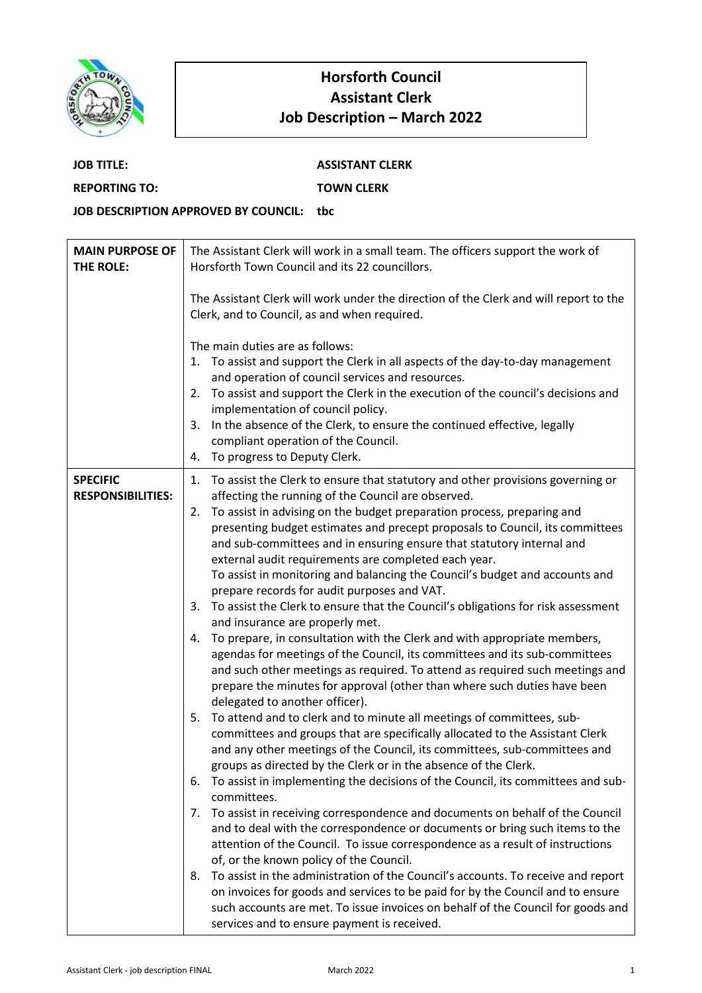

## **Horsforth Council Assistant Clerk Job Description – March 2022**

| <b>JOB TITLE:</b>                    | <b>ASSISTANT CLERK</b> |
|--------------------------------------|------------------------|
| <b>REPORTING TO:</b>                 | <b>TOWN CLERK</b>      |
| JOB DESCRIPTION APPROVED BY COUNCIL: | thc:                   |

| <b>MAIN PURPOSE OF</b><br>THE ROLE:         | The Assistant Clerk will work in a small team. The officers support the work of<br>Horsforth Town Council and its 22 councillors.                                                                                                                                                                                                                                                                                                                                                                                                                                                                                                                                                                                                                                                                                                                                                                                                                                                                                                                                                                                                                                                                                                                                                                                                                                                                                                                                                                                                                                                                                                                                                                                                                                                      |
|---------------------------------------------|----------------------------------------------------------------------------------------------------------------------------------------------------------------------------------------------------------------------------------------------------------------------------------------------------------------------------------------------------------------------------------------------------------------------------------------------------------------------------------------------------------------------------------------------------------------------------------------------------------------------------------------------------------------------------------------------------------------------------------------------------------------------------------------------------------------------------------------------------------------------------------------------------------------------------------------------------------------------------------------------------------------------------------------------------------------------------------------------------------------------------------------------------------------------------------------------------------------------------------------------------------------------------------------------------------------------------------------------------------------------------------------------------------------------------------------------------------------------------------------------------------------------------------------------------------------------------------------------------------------------------------------------------------------------------------------------------------------------------------------------------------------------------------------|
|                                             | The Assistant Clerk will work under the direction of the Clerk and will report to the<br>Clerk, and to Council, as and when required.                                                                                                                                                                                                                                                                                                                                                                                                                                                                                                                                                                                                                                                                                                                                                                                                                                                                                                                                                                                                                                                                                                                                                                                                                                                                                                                                                                                                                                                                                                                                                                                                                                                  |
|                                             | The main duties are as follows:<br>1. To assist and support the Clerk in all aspects of the day-to-day management<br>and operation of council services and resources.<br>To assist and support the Clerk in the execution of the council's decisions and<br>2.<br>implementation of council policy.<br>In the absence of the Clerk, to ensure the continued effective, legally<br>3.<br>compliant operation of the Council.<br>To progress to Deputy Clerk.<br>4.                                                                                                                                                                                                                                                                                                                                                                                                                                                                                                                                                                                                                                                                                                                                                                                                                                                                                                                                                                                                                                                                                                                                                                                                                                                                                                                      |
| <b>SPECIFIC</b><br><b>RESPONSIBILITIES:</b> | 1. To assist the Clerk to ensure that statutory and other provisions governing or<br>affecting the running of the Council are observed.<br>To assist in advising on the budget preparation process, preparing and<br>2.<br>presenting budget estimates and precept proposals to Council, its committees<br>and sub-committees and in ensuring ensure that statutory internal and<br>external audit requirements are completed each year.<br>To assist in monitoring and balancing the Council's budget and accounts and<br>prepare records for audit purposes and VAT.<br>3. To assist the Clerk to ensure that the Council's obligations for risk assessment<br>and insurance are properly met.<br>To prepare, in consultation with the Clerk and with appropriate members,<br>4.<br>agendas for meetings of the Council, its committees and its sub-committees<br>and such other meetings as required. To attend as required such meetings and<br>prepare the minutes for approval (other than where such duties have been<br>delegated to another officer).<br>To attend and to clerk and to minute all meetings of committees, sub-<br>5.<br>committees and groups that are specifically allocated to the Assistant Clerk<br>and any other meetings of the Council, its committees, sub-committees and<br>groups as directed by the Clerk or in the absence of the Clerk.<br>To assist in implementing the decisions of the Council, its committees and sub-<br>6.<br>committees.<br>To assist in receiving correspondence and documents on behalf of the Council<br>7.<br>and to deal with the correspondence or documents or bring such items to the<br>attention of the Council. To issue correspondence as a result of instructions<br>of, or the known policy of the Council. |
|                                             | To assist in the administration of the Council's accounts. To receive and report<br>8.<br>on invoices for goods and services to be paid for by the Council and to ensure<br>such accounts are met. To issue invoices on behalf of the Council for goods and<br>services and to ensure payment is received.                                                                                                                                                                                                                                                                                                                                                                                                                                                                                                                                                                                                                                                                                                                                                                                                                                                                                                                                                                                                                                                                                                                                                                                                                                                                                                                                                                                                                                                                             |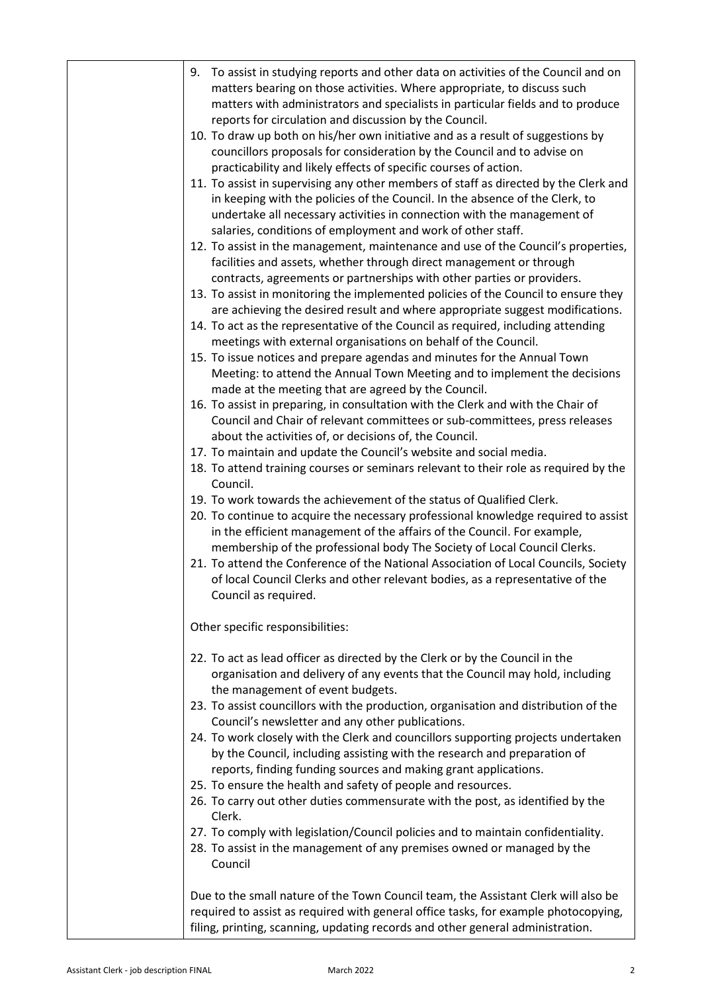| To assist in studying reports and other data on activities of the Council and on<br>9.<br>matters bearing on those activities. Where appropriate, to discuss such<br>matters with administrators and specialists in particular fields and to produce<br>reports for circulation and discussion by the Council. |
|----------------------------------------------------------------------------------------------------------------------------------------------------------------------------------------------------------------------------------------------------------------------------------------------------------------|
| 10. To draw up both on his/her own initiative and as a result of suggestions by<br>councillors proposals for consideration by the Council and to advise on<br>practicability and likely effects of specific courses of action.                                                                                 |
| 11. To assist in supervising any other members of staff as directed by the Clerk and<br>in keeping with the policies of the Council. In the absence of the Clerk, to<br>undertake all necessary activities in connection with the management of<br>salaries, conditions of employment and work of other staff. |
| 12. To assist in the management, maintenance and use of the Council's properties,<br>facilities and assets, whether through direct management or through<br>contracts, agreements or partnerships with other parties or providers.                                                                             |
| 13. To assist in monitoring the implemented policies of the Council to ensure they<br>are achieving the desired result and where appropriate suggest modifications.                                                                                                                                            |
| 14. To act as the representative of the Council as required, including attending<br>meetings with external organisations on behalf of the Council.                                                                                                                                                             |
| 15. To issue notices and prepare agendas and minutes for the Annual Town<br>Meeting: to attend the Annual Town Meeting and to implement the decisions<br>made at the meeting that are agreed by the Council.                                                                                                   |
| 16. To assist in preparing, in consultation with the Clerk and with the Chair of<br>Council and Chair of relevant committees or sub-committees, press releases<br>about the activities of, or decisions of, the Council.                                                                                       |
| 17. To maintain and update the Council's website and social media.                                                                                                                                                                                                                                             |
| 18. To attend training courses or seminars relevant to their role as required by the<br>Council.                                                                                                                                                                                                               |
| 19. To work towards the achievement of the status of Qualified Clerk.                                                                                                                                                                                                                                          |
| 20. To continue to acquire the necessary professional knowledge required to assist<br>in the efficient management of the affairs of the Council. For example,<br>membership of the professional body The Society of Local Council Clerks.                                                                      |
| 21. To attend the Conference of the National Association of Local Councils, Society<br>of local Council Clerks and other relevant bodies, as a representative of the<br>Council as required.                                                                                                                   |
| Other specific responsibilities:                                                                                                                                                                                                                                                                               |
| 22. To act as lead officer as directed by the Clerk or by the Council in the<br>organisation and delivery of any events that the Council may hold, including<br>the management of event budgets.                                                                                                               |
| 23. To assist councillors with the production, organisation and distribution of the<br>Council's newsletter and any other publications.                                                                                                                                                                        |
| 24. To work closely with the Clerk and councillors supporting projects undertaken<br>by the Council, including assisting with the research and preparation of<br>reports, finding funding sources and making grant applications.                                                                               |
| 25. To ensure the health and safety of people and resources.                                                                                                                                                                                                                                                   |
| 26. To carry out other duties commensurate with the post, as identified by the<br>Clerk.                                                                                                                                                                                                                       |
| 27. To comply with legislation/Council policies and to maintain confidentiality.<br>28. To assist in the management of any premises owned or managed by the<br>Council                                                                                                                                         |
| Due to the small nature of the Town Council team, the Assistant Clerk will also be<br>required to assist as required with general office tasks, for example photocopying,<br>filing, printing, scanning, updating records and other general administration.                                                    |